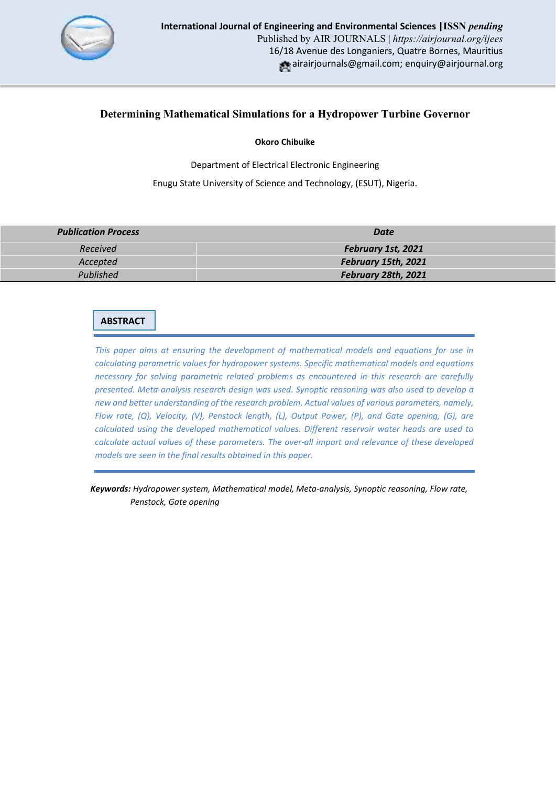

# **Determining Mathematical Simulations for a Hydropower Turbine Governor**

**Okoro Chibuike**

Department of Electrical Electronic Engineering

Enugu State University of Science and Technology, (ESUT), Nigeria.

| <b>Publication Process</b> | Date                |
|----------------------------|---------------------|
| Received                   | February 1st, 2021  |
| Accepted                   | February 15th, 2021 |
| Published                  | February 28th, 2021 |

# **ABSTRACT**

*This paper aims at ensuring the development of mathematical models and equations for use in calculating parametric values for hydropower systems. Specific mathematical models and equations necessary for solving parametric related problems as encountered in this research are carefully presented. Meta-analysis research design was used. Synoptic reasoning was also used to develop a new and better understanding of the research problem. Actual values of various parameters, namely, Flow rate, (Q), Velocity, (V), Penstock length, (L), Output Power, (P), and Gate opening, (G), are calculated using the developed mathematical values. Different reservoir water heads are used to calculate actual values of these parameters. The over-all import and relevance of these developed models are seen in the final results obtained in this paper.* 

 *Keywords: Hydropower system, Mathematical model, Meta-analysis, Synoptic reasoning, Flow rate, Penstock, Gate opening*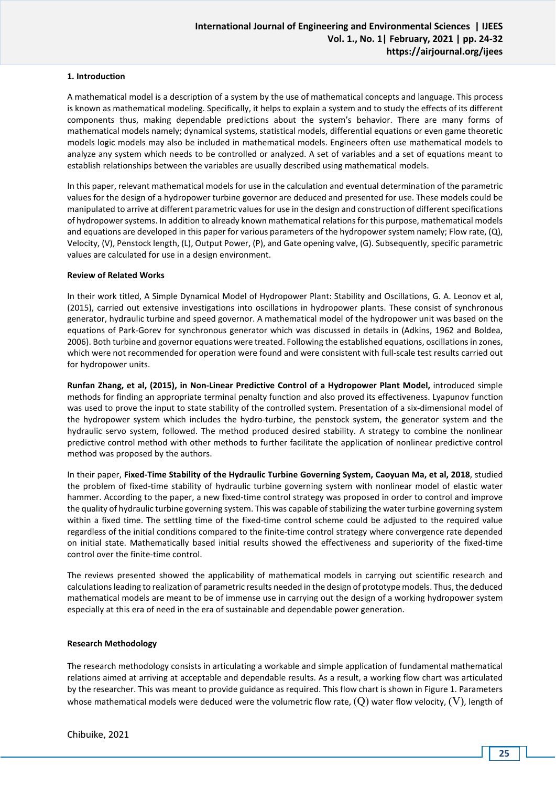# **1. Introduction**

A mathematical model is a description of a system by the use of mathematical concepts and language. This process is known as mathematical modeling. Specifically, it helps to explain a system and to study the effects of its different components thus, making dependable predictions about the system's behavior. There are many forms of mathematical models namely; dynamical systems, statistical models, differential equations or even game theoretic models logic models may also be included in mathematical models. Engineers often use mathematical models to analyze any system which needs to be controlled or analyzed. A set of variables and a set of equations meant to establish relationships between the variables are usually described using mathematical models.

In this paper, relevant mathematical models for use in the calculation and eventual determination of the parametric values for the design of a hydropower turbine governor are deduced and presented for use. These models could be manipulated to arrive at different parametric values for use in the design and construction of different specifications of hydropower systems. In addition to already known mathematical relations for this purpose, mathematical models and equations are developed in this paper for various parameters of the hydropower system namely; Flow rate, (Q), Velocity, (V), Penstock length, (L), Output Power, (P), and Gate opening valve, (G). Subsequently, specific parametric values are calculated for use in a design environment.

#### **Review of Related Works**

In their work titled, A Simple Dynamical Model of Hydropower Plant: Stability and Oscillations, G. A. Leonov et al, (2015), carried out extensive investigations into oscillations in hydropower plants. These consist of synchronous generator, hydraulic turbine and speed governor. A mathematical model of the hydropower unit was based on the equations of Park-Gorev for synchronous generator which was discussed in details in (Adkins, 1962 and Boldea, 2006). Both turbine and governor equations were treated. Following the established equations, oscillations in zones, which were not recommended for operation were found and were consistent with full-scale test results carried out for hydropower units.

**Runfan Zhang, et al, (2015), in Non-Linear Predictive Control of a Hydropower Plant Model,** introduced simple methods for finding an appropriate terminal penalty function and also proved its effectiveness. Lyapunov function was used to prove the input to state stability of the controlled system. Presentation of a six-dimensional model of the hydropower system which includes the hydro-turbine, the penstock system, the generator system and the hydraulic servo system, followed. The method produced desired stability. A strategy to combine the nonlinear predictive control method with other methods to further facilitate the application of nonlinear predictive control method was proposed by the authors.

In their paper, **Fixed-Time Stability of the Hydraulic Turbine Governing System, Caoyuan Ma, et al, 2018**, studied the problem of fixed-time stability of hydraulic turbine governing system with nonlinear model of elastic water hammer. According to the paper, a new fixed-time control strategy was proposed in order to control and improve the quality of hydraulic turbine governing system. This was capable of stabilizing the water turbine governing system within a fixed time. The settling time of the fixed-time control scheme could be adjusted to the required value regardless of the initial conditions compared to the finite-time control strategy where convergence rate depended on initial state. Mathematically based initial results showed the effectiveness and superiority of the fixed-time control over the finite-time control.

The reviews presented showed the applicability of mathematical models in carrying out scientific research and calculations leading to realization of parametric results needed in the design of prototype models. Thus, the deduced mathematical models are meant to be of immense use in carrying out the design of a working hydropower system especially at this era of need in the era of sustainable and dependable power generation.

#### **Research Methodology**

The research methodology consists in articulating a workable and simple application of fundamental mathematical relations aimed at arriving at acceptable and dependable results. As a result, a working flow chart was articulated by the researcher. This was meant to provide guidance as required. This flow chart is shown in Figure 1. Parameters whose mathematical models were deduced were the volumetric flow rate,  $(Q)$  water flow velocity,  $(V)$ , length of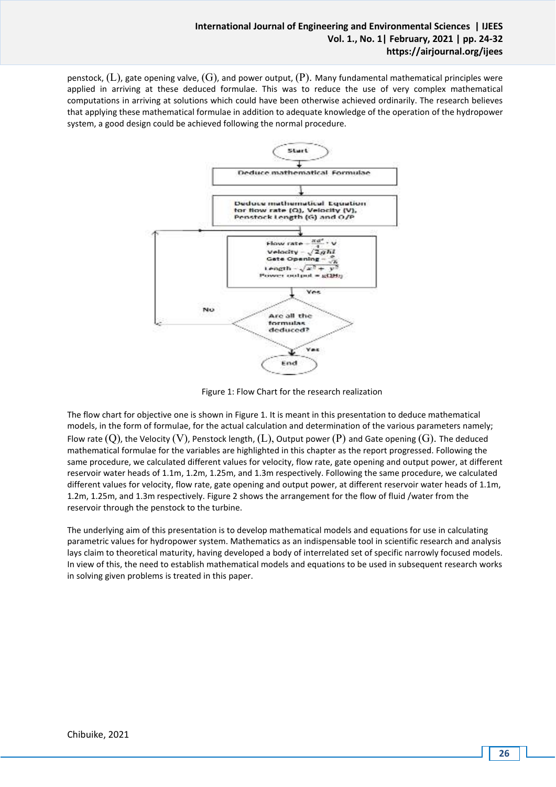penstock,  $(L)$ , gate opening valve,  $(G)$ , and power output,  $(P)$ . Many fundamental mathematical principles were applied in arriving at these deduced formulae. This was to reduce the use of very complex mathematical computations in arriving at solutions which could have been otherwise achieved ordinarily. The research believes that applying these mathematical formulae in addition to adequate knowledge of the operation of the hydropower system, a good design could be achieved following the normal procedure.



Figure 1: Flow Chart for the research realization

The flow chart for objective one is shown in Figure 1. It is meant in this presentation to deduce mathematical models, in the form of formulae, for the actual calculation and determination of the various parameters namely; Flow rate  $(Q)$ , the Velocity  $(V)$ , Penstock length,  $(L)$ , Output power  $(P)$  and Gate opening  $(G)$ . The deduced mathematical formulae for the variables are highlighted in this chapter as the report progressed. Following the same procedure, we calculated different values for velocity, flow rate, gate opening and output power, at different reservoir water heads of 1.1m, 1.2m, 1.25m, and 1.3m respectively. Following the same procedure, we calculated different values for velocity, flow rate, gate opening and output power, at different reservoir water heads of 1.1m, 1.2m, 1.25m, and 1.3m respectively. Figure 2 shows the arrangement for the flow of fluid /water from the reservoir through the penstock to the turbine.

The underlying aim of this presentation is to develop mathematical models and equations for use in calculating parametric values for hydropower system. Mathematics as an indispensable tool in scientific research and analysis lays claim to theoretical maturity, having developed a body of interrelated set of specific narrowly focused models. In view of this, the need to establish mathematical models and equations to be used in subsequent research works in solving given problems is treated in this paper.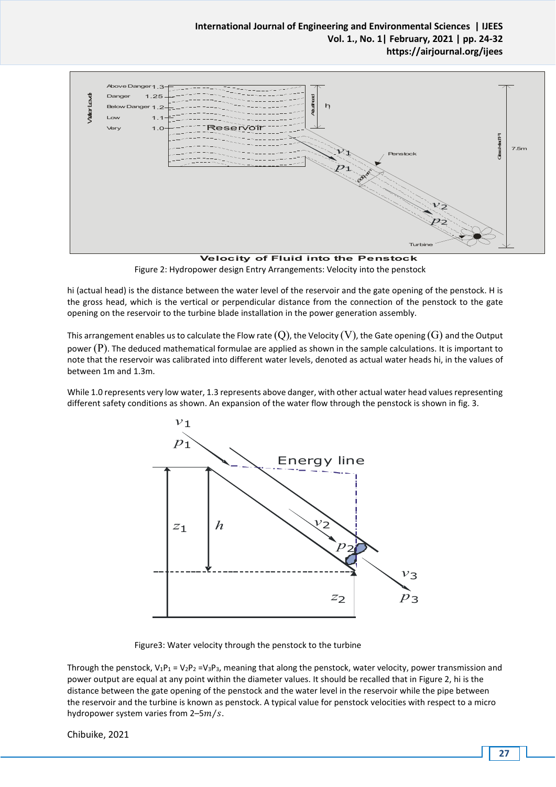

**Velocity of Fluid into the Penstock**  Figure 2: Hydropower design Entry Arrangements: Velocity into the penstock

hi (actual head) is the distance between the water level of the reservoir and the gate opening of the penstock. H is the gross head, which is the vertical or perpendicular distance from the connection of the penstock to the gate opening on the reservoir to the turbine blade installation in the power generation assembly.

This arrangement enables us to calculate the Flow rate  $(Q)$ , the Velocity  $(V)$ , the Gate opening  $(G)$  and the Output power  $(P)$ . The deduced mathematical formulae are applied as shown in the sample calculations. It is important to note that the reservoir was calibrated into different water levels, denoted as actual water heads hi, in the values of between 1m and 1.3m.

While 1.0 represents very low water, 1.3 represents above danger, with other actual water head values representing different safety conditions as shown. An expansion of the water flow through the penstock is shown in fig. 3.



Figure3: Water velocity through the penstock to the turbine

Through the penstock,  $V_1P_1 = V_2P_2 = V_3P_3$ , meaning that along the penstock, water velocity, power transmission and power output are equal at any point within the diameter values. It should be recalled that in Figure 2, hi is the distance between the gate opening of the penstock and the water level in the reservoir while the pipe between the reservoir and the turbine is known as penstock. A typical value for penstock velocities with respect to a micro hydropower system varies from 2-5 $m/s$ .

Chibuike, 2021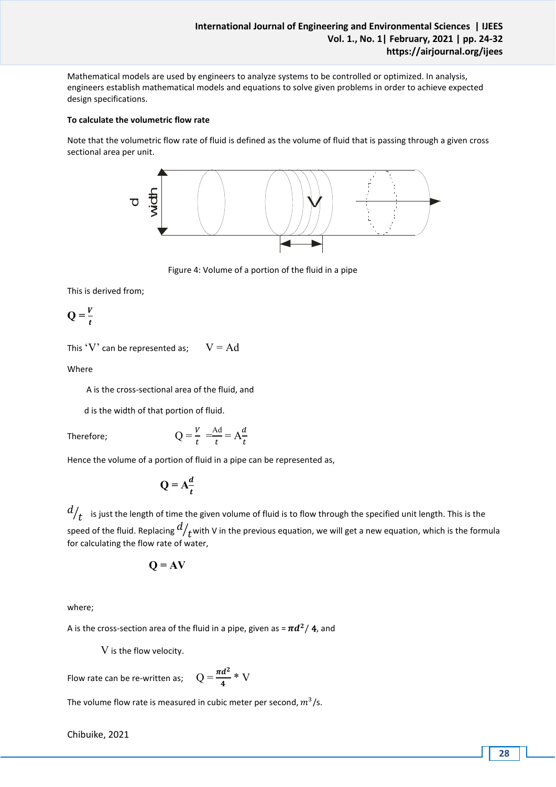Mathematical models are used by engineers to analyze systems to be controlled or optimized. In analysis, engineers establish mathematical models and equations to solve given problems in order to achieve expected design specifications.

### **To calculate the volumetric flow rate**

Note that the volumetric flow rate of fluid is defined as the volume of fluid that is passing through a given cross sectional area per unit.



Figure 4: Volume of a portion of the fluid in a pipe

This is derived from;

 $Q = \frac{V}{t}$ 

This 'V' can be represented as;  $V = Ad$ 

Where

A is the cross-sectional area of the fluid, and

d is the width of that portion of fluid.

Therefore;  $Q$ 

$$
=\frac{V}{t} = \frac{Ad}{t} = A\frac{d}{t}
$$

Hence the volume of a portion of fluid in a pipe can be represented as,

$$
Q = A \frac{d}{t}
$$

 $\left. d \right/ _t \;$  is just the length of time the given volume of fluid is to flow through the specified unit length. This is the speed of the fluid. Replacing  $d/_{\bm{t}}$ with V in the previous equation, we will get a new equation, which is the formula for calculating the flow rate of water,

$$
Q = AV
$$

where;

A is the cross-section area of the fluid in a pipe, given as =  $\pi d^2/$  4, and

V is the flow velocity.

Flow rate can be re-written as;  $Q = \frac{\pi d^2}{4} * V$ 

The volume flow rate is measured in cubic meter per second,  $m^3/s$ .

Chibuike, 2021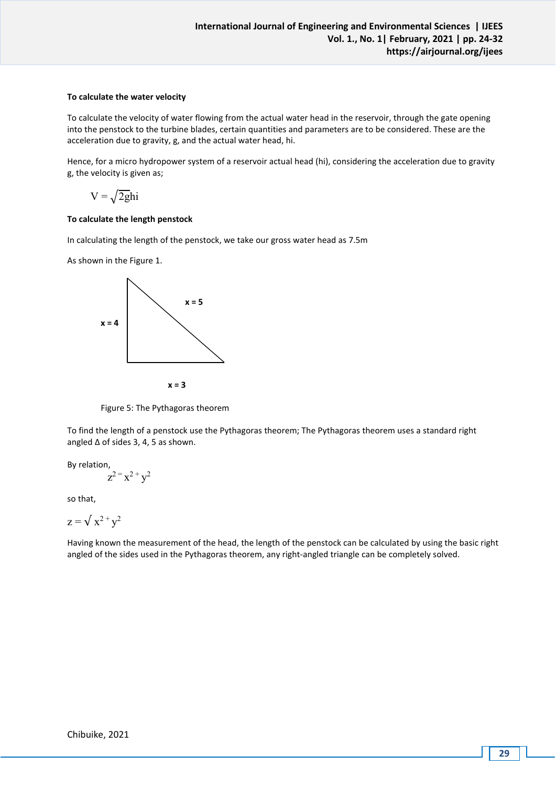# **To calculate the water velocity**

To calculate the velocity of water flowing from the actual water head in the reservoir, through the gate opening into the penstock to the turbine blades, certain quantities and parameters are to be considered. These are the acceleration due to gravity, g, and the actual water head, hi.

Hence, for a micro hydropower system of a reservoir actual head (hi), considering the acceleration due to gravity g, the velocity is given as;

 $V = \sqrt{2gh}i$ 

# **To calculate the length penstock**

In calculating the length of the penstock, we take our gross water head as 7.5m

As shown in the Figure 1.



Figure 5: The Pythagoras theorem

To find the length of a penstock use the Pythagoras theorem; The Pythagoras theorem uses a standard right angled ∆ of sides 3, 4, 5 as shown.

By relation,  $z^2 = x^2 + y^2$ 

so that,

$$
z = \sqrt{x^2 + y^2}
$$

Having known the measurement of the head, the length of the penstock can be calculated by using the basic right angled of the sides used in the Pythagoras theorem, any right-angled triangle can be completely solved.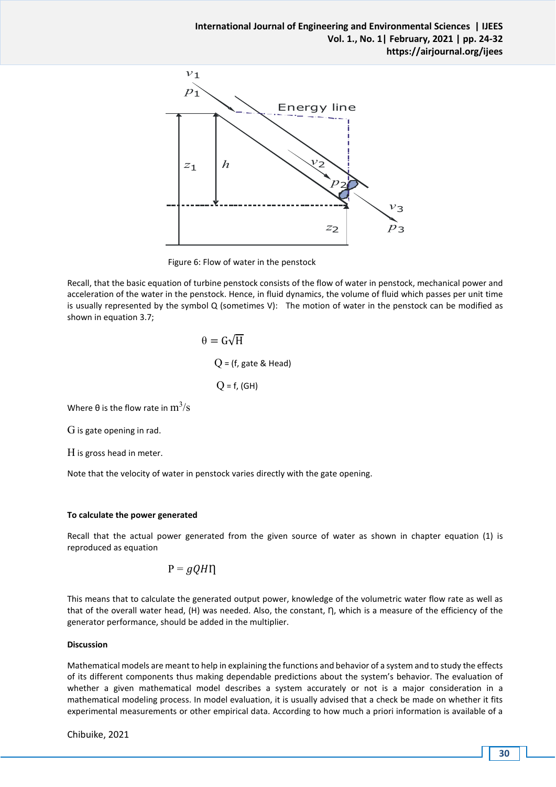

Figure 6: Flow of water in the penstock

Recall, that the basic equation of turbine penstock consists of the flow of water in penstock, mechanical power and acceleration of the water in the penstock. Hence, in fluid dynamics, the volume of fluid which passes per unit time is usually represented by the symbol Q (sometimes V): The motion of water in the penstock can be modified as shown in equation 3.7;

> $\theta = G\sqrt{H}$  $Q$  = (f, gate & Head)  $Q = f, (GH)$

Where  $\theta$  is the flow rate in  $\text{m}^3\text{/s}$ 

G is gate opening in rad.

H is gross head in meter.

Note that the velocity of water in penstock varies directly with the gate opening.

## **To calculate the power generated**

Recall that the actual power generated from the given source of water as shown in chapter equation (1) is reproduced as equation

$$
P = gQH\eta
$$

This means that to calculate the generated output power, knowledge of the volumetric water flow rate as well as that of the overall water head, (H) was needed. Also, the constant, η, which is a measure of the efficiency of the generator performance, should be added in the multiplier.

## **Discussion**

Mathematical models are meant to help in explaining the functions and behavior of a system and to study the effects of its different components thus making dependable predictions about the system's behavior. The evaluation of whether a given mathematical model describes a system accurately or not is a major consideration in a mathematical modeling process. In model evaluation, it is usually advised that a check be made on whether it fits experimental measurements or other empirical data. According to how much a priori information is available of a

Chibuike, 2021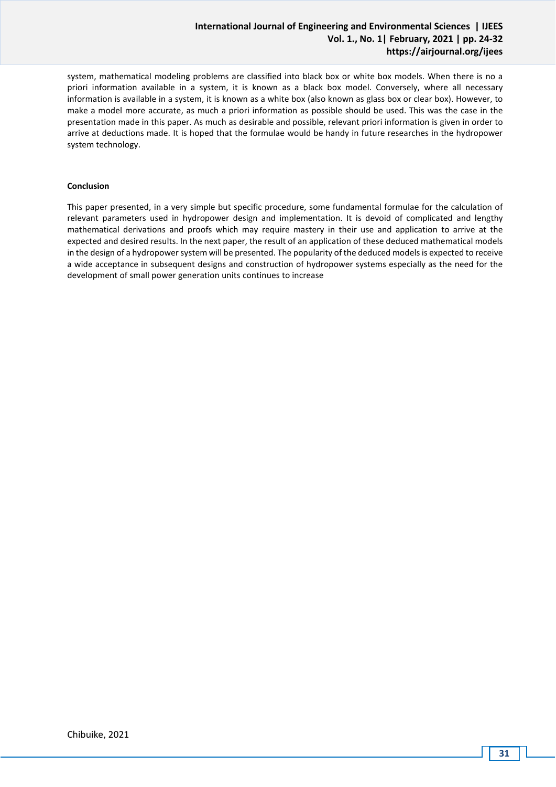# **International Journal of Engineering and Environmental Sciences | IJEES Vol. 1., No. 1| February, 2021 | pp. 24-32 https://airjournal.org/ijees**

system, mathematical modeling problems are classified into black box or white box models. When there is no a priori information available in a system, it is known as a black box model. Conversely, where all necessary information is available in a system, it is known as a white box (also known as glass box or clear box). However, to make a model more accurate, as much a priori information as possible should be used. This was the case in the presentation made in this paper. As much as desirable and possible, relevant priori information is given in order to arrive at deductions made. It is hoped that the formulae would be handy in future researches in the hydropower system technology.

## **Conclusion**

This paper presented, in a very simple but specific procedure, some fundamental formulae for the calculation of relevant parameters used in hydropower design and implementation. It is devoid of complicated and lengthy mathematical derivations and proofs which may require mastery in their use and application to arrive at the expected and desired results. In the next paper, the result of an application of these deduced mathematical models in the design of a hydropower system will be presented. The popularity of the deduced models is expected to receive a wide acceptance in subsequent designs and construction of hydropower systems especially as the need for the development of small power generation units continues to increase